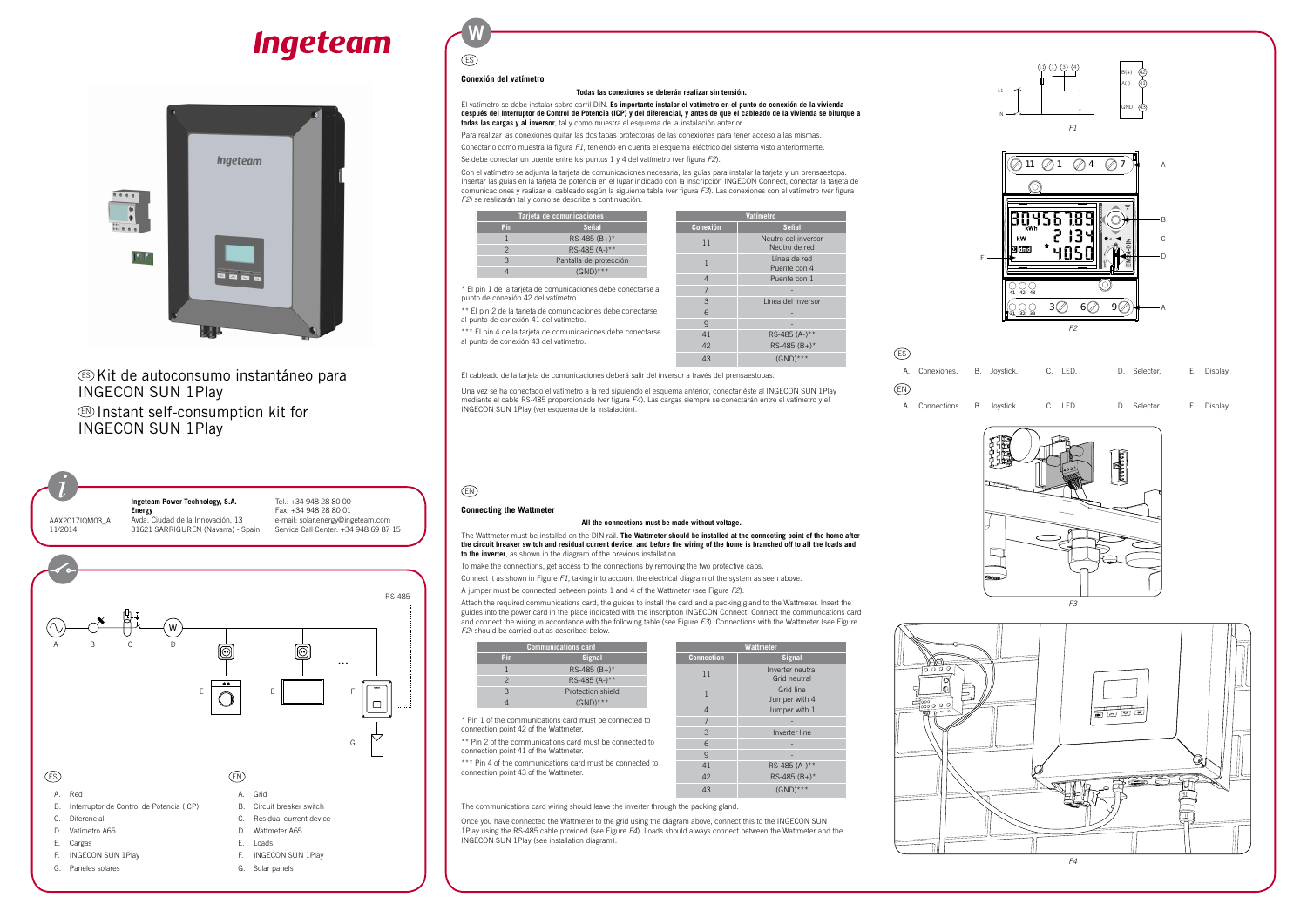# **Ingeteam**



### ES Kit de autoconsumo instantáneo para Ingecon Sun 1Play EN Instant self-consumption kit for Ingecon Sun 1Play



G. Paneles solares

G. Solar panels



Avda. Ciudad de la Innovación, 13 Tel.: +34 948 28 80 00 Fax: +34 948 28 80 01 e-mail: solar.energy@ingeteam.com Service Call Center: +34 948 69 87 15 **W**

ES

#### **Conexión del vatímetro**

#### **Todas las conexiones se deberán realizar sin tensión.**

El vatímetro se debe instalar sobre carril DIN. **Es importante instalar el vatímetro en el punto de conexión de la vivienda después del Interruptor de Control de Potencia (ICP) y del diferencial, y antes de que el cableado de la vivienda se bifurque a todas las cargas y al inversor**, tal y como muestra el esquema de la instalación anterior.

El pin 1 de la tarjeta de comunicaciones debe conectarse al punto de conexión 42 del vatímetro.

Para realizar las conexiones quitar las dos tapas protectoras de las conexiones para tener acceso a las mismas.

Conectarlo como muestra la figura *F1*, teniendo en cuenta el esquema eléctrico del sistema visto anteriormente.

Se debe conectar un puente entre los puntos 1 y 4 del vatímetro (ver figura *F2*).

Con el vatímetro se adjunta la tarjeta de comunicaciones necesaria, las guías para instalar la tarjeta y un prensaestopa. Insertar las guías en la tarjeta de potencia en el lugar indicado con la inscripción INGECON Connect, conectar la tarjeta de comunicaciones y realizar el cableado según la siguiente tabla (ver figura *F3*). Las conexiones con el vatímetro (ver figura *F2*) se realizarán tal y como se describe a continuación.

\*\* El pin 2 de la tarjeta de comunicaciones debe conectarse

\*\* Pin 2 of the communications card must be connected to connection point 41 of the Wattmeter.

| Tarjeta de comunicaciones |                                                               |  | Vatímetro           |               |
|---------------------------|---------------------------------------------------------------|--|---------------------|---------------|
| Pin                       | Señal                                                         |  | <b>Conexión</b>     | Señal         |
|                           | $RS-485(B+)$ *                                                |  | Neutro del inversor |               |
|                           | RS-485 (A-)**                                                 |  |                     | Neutro de red |
| 3                         | Pantalla de protección                                        |  |                     | Línea de red  |
|                           | $(GND)***$                                                    |  | Puente con 4        |               |
|                           |                                                               |  | $\overline{4}$      | Puente con 1  |
|                           | * El pin 1 de la tarjeta de comunicaciones debe conectarse al |  |                     |               |

al punto de conexión 41 del vatímetro.

\*\*\* El pin 4 de la tarieta de comunicaciones debe conectarse

\*\*\* Pin 4 of the communications card must be connected to connection point 43 of the Wattmeter.

**Wattmeter Connection Signal** 11 Inverter neutral

1 Grid line

al punto de conexión 43 del vatímetro.

3 Línea del inversor 6 - 9 - 41 RS-485 (A-)\*\*  $\overline{RS-485 (B_+)^*}$ 43 (GND)\*\*\*

El cableado de la tarjeta de comunicaciones deberá salir del inversor a través del prensaestopas.

Una vez se ha conectado el vatímetro a la red siguiendo el esquema anterior, conectar éste al Ingecon Sun 1Play mediante el cable RS-485 proporcionado (ver figura *F4*). Las cargas siempre se conectarán entre el vatímetro y el Ingecon Sun 1Play (ver esquema de la instalación).

## EN

**Connecting the Wattmeter**

#### **All the connections must be made without voltage.**

The Wattmeter must be installed on the DIN rail. **The Wattmeter should be installed at the connecting point of the home after the circuit breaker switch and residual current device, and before the wiring of the home is branched off to all the loads and to the inverter**, as shown in the diagram of the previous installation.

To make the connections, get access to the connections by removing the two protective caps.

Connect it as shown in Figure *F1*, taking into account the electrical diagram of the system as seen above.

A jumper must be connected between points 1 and 4 of the Wattmeter (see Figure *F2*).

Attach the required communications card, the guides to install the card and a packing gland to the Wattmeter. Insert the guides into the power card in the place indicated with the inscription INGECON Connect. Connect the communcations card and connect the wiring in accordance with the following table (see Figure *F3*). Connections with the Wattmeter (see Figure *F2*) should be carried out as described below.

| <b>Communications card</b> |                   |  |  |  |
|----------------------------|-------------------|--|--|--|
| <b>Pin</b>                 | Signal            |  |  |  |
|                            | $RS-485(B+)$ *    |  |  |  |
|                            | RS-485 (A-)**     |  |  |  |
| Р                          | Protection shield |  |  |  |
|                            | $(GND)***$        |  |  |  |

\* Pin 1 of the communications card must be connected to connection point 42 of the Wattmeter.

Grid neutral

Jumper with 4

4 Jumper with 1 7 - 3 Inverter line  $6 \qquad \qquad$ 9 - 41 RS-485 (A-)\*\*  $RS-485 (B+)$ \* 43 (GND)\*\*\*

The communications card wiring should leave the inverter through the packing gland.

Once you have connected the Wattmeter to the grid using the diagram above, connect this to the INGECON SUN 1Play using the RS-485 cable provided (see Figure *F4*). Loads should always connect between the Wattmeter and the INGECON SUN 1Play (see installation diagram).



## ES EN